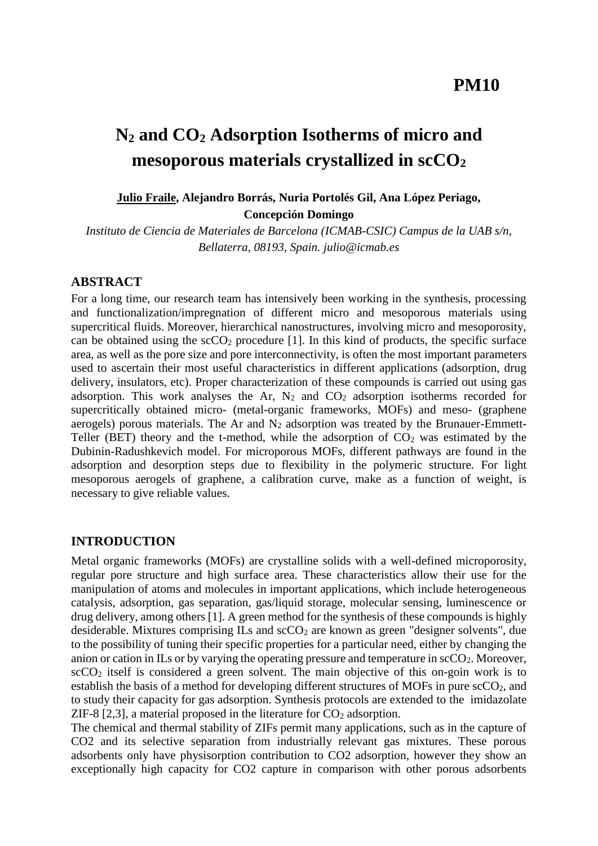# **N<sup>2</sup> and CO<sup>2</sup> Adsorption Isotherms of micro and mesoporous materials crystallized in scCO<sup>2</sup>**

## **Julio Fraile, Alejandro Borrás, Nuria Portolés Gil, Ana López Periago, Concepción Domingo**

*Instituto de Ciencia de Materiales de Barcelona (ICMAB-CSIC) Campus de la UAB s/n, Bellaterra, 08193, Spain. julio@icmab.es*

## **ABSTRACT**

For a long time, our research team has intensively been working in the synthesis, processing and functionalization/impregnation of different micro and mesoporous materials using supercritical fluids. Moreover, hierarchical nanostructures, involving micro and mesoporosity, can be obtained using the  $\sec O_2$  procedure [1]. In this kind of products, the specific surface area, as well as the pore size and pore interconnectivity, is often the most important parameters used to ascertain their most useful characteristics in different applications (adsorption, drug delivery, insulators, etc). Proper characterization of these compounds is carried out using gas adsorption. This work analyses the Ar,  $N_2$  and  $CO_2$  adsorption isotherms recorded for supercritically obtained micro- (metal-organic frameworks, MOFs) and meso- (graphene aerogels) porous materials. The Ar and  $N_2$  adsorption was treated by the Brunauer-Emmett-Teller (BET) theory and the t-method, while the adsorption of  $CO<sub>2</sub>$  was estimated by the Dubinin-Radushkevich model. For microporous MOFs, different pathways are found in the adsorption and desorption steps due to flexibility in the polymeric structure. For light mesoporous aerogels of graphene, a calibration curve, make as a function of weight, is necessary to give reliable values.

## **INTRODUCTION**

Metal organic frameworks (MOFs) are crystalline solids with a well-defined microporosity, regular pore structure and high surface area. These characteristics allow their use for the manipulation of atoms and molecules in important applications, which include heterogeneous catalysis, adsorption, gas separation, gas/liquid storage, molecular sensing, luminescence or drug delivery, among others [1]. A green method for the synthesis of these compounds is highly desiderable. Mixtures comprising ILs and  $\sec O_2$  are known as green "designer solvents", due to the possibility of tuning their specific properties for a particular need, either by changing the anion or cation in ILs or by varying the operating pressure and temperature in  $\text{scCO}_2$ . Moreover,  $\sec{CO_2}$  itself is considered a green solvent. The main objective of this on-goin work is to establish the basis of a method for developing different structures of MOFs in pure scCO2, and to study their capacity for gas adsorption. Synthesis protocols are extended to the imidazolate ZIF-8  $[2,3]$ , a material proposed in the literature for  $CO<sub>2</sub>$  adsorption.

The chemical and thermal stability of ZIFs permit many applications, such as in the capture of CO2 and its selective separation from industrially relevant gas mixtures. These porous adsorbents only have physisorption contribution to CO2 adsorption, however they show an exceptionally high capacity for CO2 capture in comparison with other porous adsorbents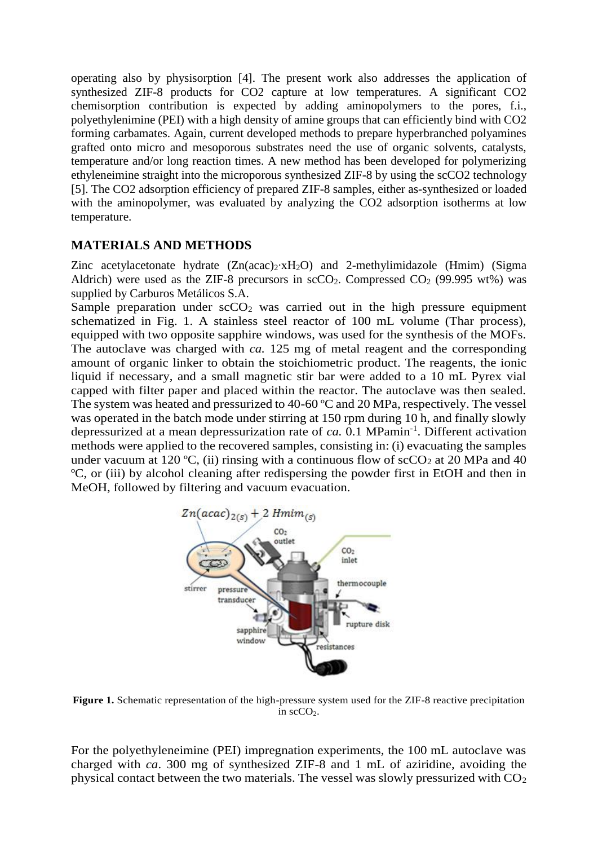operating also by physisorption [4]. The present work also addresses the application of synthesized ZIF-8 products for CO2 capture at low temperatures. A significant CO2 chemisorption contribution is expected by adding aminopolymers to the pores, f.i., polyethylenimine (PEI) with a high density of amine groups that can efficiently bind with CO2 forming carbamates. Again, current developed methods to prepare hyperbranched polyamines grafted onto micro and mesoporous substrates need the use of organic solvents, catalysts, temperature and/or long reaction times. A new method has been developed for polymerizing ethyleneimine straight into the microporous synthesized ZIF-8 by using the scCO2 technology [5]. The CO2 adsorption efficiency of prepared ZIF-8 samples, either as-synthesized or loaded with the aminopolymer, was evaluated by analyzing the CO2 adsorption isotherms at low temperature.

## **MATERIALS AND METHODS**

Zinc acetylacetonate hydrate (Zn(acac)2∙xH2O) and 2-methylimidazole (Hmim) (Sigma Aldrich) were used as the ZIF-8 precursors in  $\sec O_2$ . Compressed  $CO_2$  (99.995 wt%) was supplied by Carburos Metálicos S.A.

Sample preparation under  $\sec 0<sub>2</sub>$  was carried out in the high pressure equipment schematized in Fig. 1. A stainless steel reactor of 100 mL volume (Thar process), equipped with two opposite sapphire windows, was used for the synthesis of the MOFs. The autoclave was charged with *ca.* 125 mg of metal reagent and the corresponding amount of organic linker to obtain the stoichiometric product. The reagents, the ionic liquid if necessary, and a small magnetic stir bar were added to a 10 mL Pyrex vial capped with filter paper and placed within the reactor. The autoclave was then sealed. The system was heated and pressurized to 40-60 ºC and 20 MPa, respectively. The vessel was operated in the batch mode under stirring at 150 rpm during 10 h, and finally slowly depressurized at a mean depressurization rate of *ca.* 0.1 MPamin-1 . Different activation methods were applied to the recovered samples, consisting in: (i) evacuating the samples under vacuum at 120 °C, (ii) rinsing with a continuous flow of  $\sec O_2$  at 20 MPa and 40 ºC, or (iii) by alcohol cleaning after redispersing the powder first in EtOH and then in MeOH, followed by filtering and vacuum evacuation.



**Figure 1.** Schematic representation of the high-pressure system used for the ZIF-8 reactive precipitation in  $scCO<sub>2</sub>$ .

For the polyethyleneimine (PEI) impregnation experiments, the 100 mL autoclave was charged with *ca*. 300 mg of synthesized ZIF-8 and 1 mL of aziridine, avoiding the physical contact between the two materials. The vessel was slowly pressurized with  $CO<sub>2</sub>$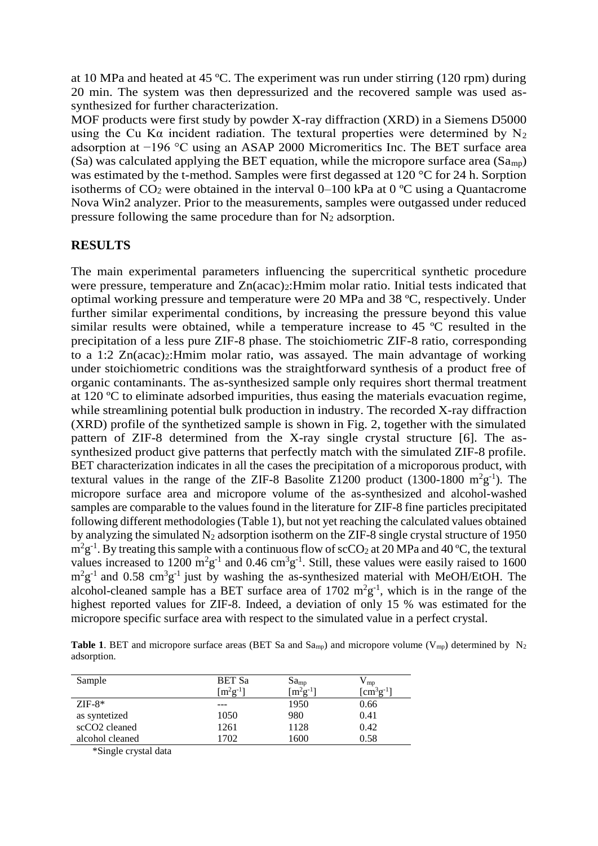at 10 MPa and heated at 45 ºC. The experiment was run under stirring (120 rpm) during 20 min. The system was then depressurized and the recovered sample was used assynthesized for further characterization.

MOF products were first study by powder X-ray diffraction (XRD) in a Siemens D5000 using the Cu K $\alpha$  incident radiation. The textural properties were determined by N<sub>2</sub> adsorption at −196 °C using an ASAP 2000 Micromeritics Inc. The BET surface area  $(Sa)$  was calculated applying the BET equation, while the micropore surface area  $(Sa_{mp})$ was estimated by the t-method. Samples were first degassed at 120 °C for 24 h. Sorption isotherms of  $CO_2$  were obtained in the interval 0–100 kPa at 0 °C using a Quantacrome Nova Win2 analyzer. Prior to the measurements, samples were outgassed under reduced pressure following the same procedure than for  $N_2$  adsorption.

#### **RESULTS**

The main experimental parameters influencing the supercritical synthetic procedure were pressure, temperature and  $Zn(acac)_{2}$ : Hmim molar ratio. Initial tests indicated that optimal working pressure and temperature were 20 MPa and 38 ºC, respectively. Under further similar experimental conditions, by increasing the pressure beyond this value similar results were obtained, while a temperature increase to 45 ºC resulted in the precipitation of a less pure ZIF-8 phase. The stoichiometric ZIF-8 ratio, corresponding to a 1:2 Zn(acac)2:Hmim molar ratio, was assayed. The main advantage of working under stoichiometric conditions was the straightforward synthesis of a product free of organic contaminants. The as-synthesized sample only requires short thermal treatment at 120 ºC to eliminate adsorbed impurities, thus easing the materials evacuation regime, while streamlining potential bulk production in industry. The recorded X-ray diffraction (XRD) profile of the synthetized sample is shown in Fig. 2, together with the simulated pattern of ZIF-8 determined from the X-ray single crystal structure [6]. The assynthesized product give patterns that perfectly match with the simulated ZIF-8 profile. BET characterization indicates in all the cases the precipitation of a microporous product, with textural values in the range of the ZIF-8 Basolite Z1200 product  $(1300-1800 \text{ m}^2 \text{g}^{-1})$ . The micropore surface area and micropore volume of the as-synthesized and alcohol-washed samples are comparable to the values found in the literature for ZIF-8 fine particles precipitated following different methodologies (Table 1), but not yet reaching the calculated values obtained by analyzing the simulated  $N_2$  adsorption isotherm on the ZIF-8 single crystal structure of 1950  $m^2g^{-1}$ . By treating this sample with a continuous flow of scCO<sub>2</sub> at 20 MPa and 40 °C, the textural values increased to 1200  $m^2g^{-1}$  and 0.46  $cm^3g^{-1}$ . Still, these values were easily raised to 1600  $m^2g^{-1}$  and 0.58 cm<sup>3</sup>g<sup>-1</sup> just by washing the as-synthesized material with MeOH/EtOH. The alcohol-cleaned sample has a BET surface area of  $1702 \text{ m}^2\text{g}^{-1}$ , which is in the range of the highest reported values for ZIF-8. Indeed, a deviation of only 15 % was estimated for the micropore specific surface area with respect to the simulated value in a perfect crystal.

**Table 1.** BET and micropore surface areas (BET Sa and Sa<sub>mp</sub>) and micropore volume (V<sub>mp</sub>) determined by N<sub>2</sub> adsorption.

| <b>BET Sa</b>   |               | $\mathbf{v}_{\text{mp}}$                  |
|-----------------|---------------|-------------------------------------------|
| $[m^{2}g^{-1}]$ | $[m^2g^{-1}]$ | $\lceil \text{cm}^3 \text{g}^{-1} \rceil$ |
|                 | 1950          | 0.66                                      |
| 1050            | 980           | 0.41                                      |
| 1261            | 1128          | 0.42                                      |
| 1702            | 1600          | 0.58                                      |
|                 |               | $Sa_{mp}$                                 |

\*Single crystal data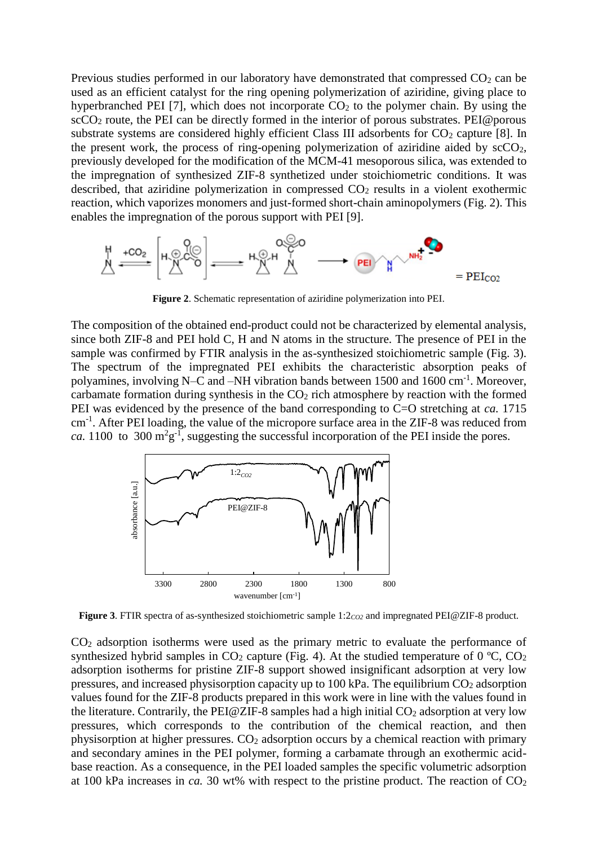Previous studies performed in our laboratory have demonstrated that compressed  $CO<sub>2</sub>$  can be used as an efficient catalyst for the ring opening polymerization of aziridine, giving place to hyperbranched PEI [7], which does not incorporate  $CO<sub>2</sub>$  to the polymer chain. By using the  $\sec{CO_2}$  route, the PEI can be directly formed in the interior of porous substrates. PEI@porous substrate systems are considered highly efficient Class III adsorbents for  $CO<sub>2</sub>$  capture [8]. In the present work, the process of ring-opening polymerization of aziridine aided by  $\text{scCO}_2$ , previously developed for the modification of the MCM-41 mesoporous silica, was extended to the impregnation of synthesized ZIF-8 synthetized under stoichiometric conditions. It was described, that aziridine polymerization in compressed  $CO<sub>2</sub>$  results in a violent exothermic reaction, which vaporizes monomers and just-formed short-chain aminopolymers (Fig. 2). This enables the impregnation of the porous support with PEI [9].



**Figure 2**. Schematic representation of aziridine polymerization into PEI.

The composition of the obtained end-product could not be characterized by elemental analysis, since both ZIF-8 and PEI hold C, H and N atoms in the structure. The presence of PEI in the sample was confirmed by FTIR analysis in the as-synthesized stoichiometric sample (Fig. 3). The spectrum of the impregnated PEI exhibits the characteristic absorption peaks of polyamines, involving N–C and –NH vibration bands between 1500 and 1600 cm<sup>-1</sup>. Moreover, carbamate formation during synthesis in the  $CO<sub>2</sub>$  rich atmosphere by reaction with the formed PEI was evidenced by the presence of the band corresponding to C=O stretching at *ca.* 1715 cm<sup>-1</sup>. After PEI loading, the value of the micropore surface area in the ZIF-8 was reduced from *ca.* 1100 to 300  $m^2g^{-1}$ , suggesting the successful incorporation of the PEI inside the pores.



**Figure 3**. FTIR spectra of as-synthesized stoichiometric sample 1:2*CO2* and impregnated PEI@ZIF-8 product.

CO<sup>2</sup> adsorption isotherms were used as the primary metric to evaluate the performance of synthesized hybrid samples in  $CO_2$  capture (Fig. 4). At the studied temperature of 0 °C,  $CO_2$ adsorption isotherms for pristine ZIF-8 support showed insignificant adsorption at very low pressures, and increased physisorption capacity up to 100 kPa. The equilibrium  $CO<sub>2</sub>$  adsorption values found for the ZIF-8 products prepared in this work were in line with the values found in the literature. Contrarily, the PEI@ZIF-8 samples had a high initial  $CO<sub>2</sub>$  adsorption at very low pressures, which corresponds to the contribution of the chemical reaction, and then physisorption at higher pressures. CO<sup>2</sup> adsorption occurs by a chemical reaction with primary and secondary amines in the PEI polymer, forming a carbamate through an exothermic acidbase reaction. As a consequence, in the PEI loaded samples the specific volumetric adsorption at 100 kPa increases in *ca*. 30 wt% with respect to the pristine product. The reaction of  $CO<sub>2</sub>$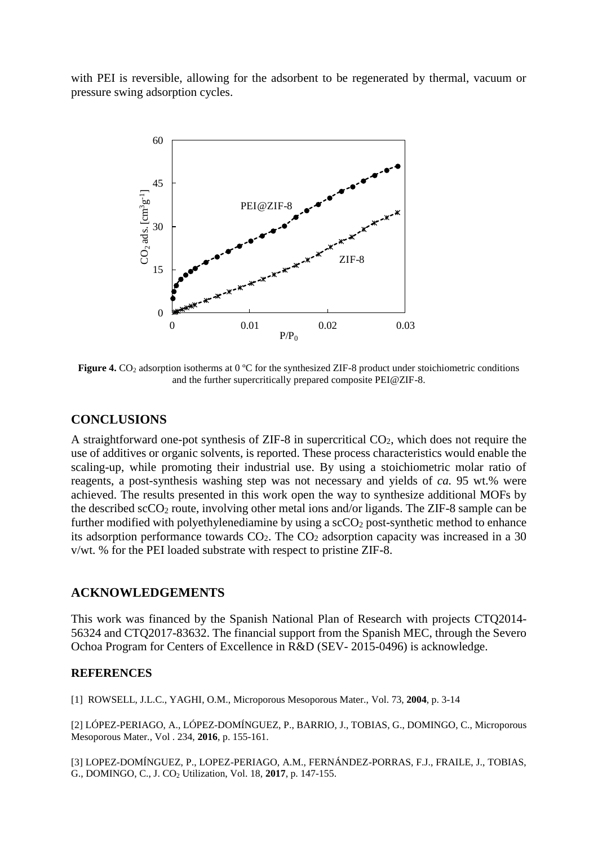with PEI is reversible, allowing for the adsorbent to be regenerated by thermal, vacuum or pressure swing adsorption cycles.



**Figure 4.** CO<sub>2</sub> adsorption isotherms at 0 °C for the synthesized ZIF-8 product under stoichiometric conditions and the further supercritically prepared composite PEI@ZIF-8.

#### **CONCLUSIONS**

A straightforward one-pot synthesis of ZIF-8 in supercritical CO2, which does not require the use of additives or organic solvents, is reported. These process characteristics would enable the scaling-up, while promoting their industrial use. By using a stoichiometric molar ratio of reagents, a post-synthesis washing step was not necessary and yields of *ca.* 95 wt.% were achieved. The results presented in this work open the way to synthesize additional MOFs by the described  $\sec O_2$  route, involving other metal ions and/or ligands. The ZIF-8 sample can be further modified with polyethylenediamine by using a  $\text{scCO}_2$  post-synthetic method to enhance its adsorption performance towards  $CO<sub>2</sub>$ . The  $CO<sub>2</sub>$  adsorption capacity was increased in a 30 v/wt. % for the PEI loaded substrate with respect to pristine ZIF-8.

#### **ACKNOWLEDGEMENTS**

This work was financed by the Spanish National Plan of Research with projects CTQ2014- 56324 and CTQ2017-83632. The financial support from the Spanish MEC, through the Severo Ochoa Program for Centers of Excellence in R&D (SEV- 2015-0496) is acknowledge.

#### **REFERENCES**

[1] ROWSELL, J.L.C., YAGHI, O.M., Microporous Mesoporous Mater., Vol. 73, **2004**, p. 3-14

[2] LÓPEZ-PERIAGO, A., LÓPEZ-DOMÍNGUEZ, P., BARRIO, J., TOBIAS, G., DOMINGO, C., Microporous Mesoporous Mater., Vol . 234, **2016**, p. 155-161.

[3] LOPEZ-DOMÍNGUEZ, P., LOPEZ-PERIAGO, A.M., FERNÁNDEZ-PORRAS, F.J., FRAILE, J., TOBIAS, G., DOMINGO, C., J. CO<sup>2</sup> Utilization, Vol. 18, **2017**, p. 147-155.